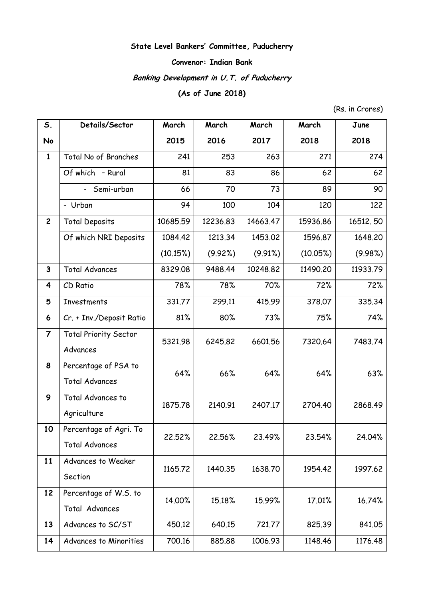## **State Level Bankers' Committee, Puducherry**

## **Convenor: Indian Bank**

# **Banking Development in U.T. of Puducherry**

# **(As of June 2018)**

(Rs. in Crores)

| S.                      | Details/Sector               | March    | March    | March    | March    | June     |
|-------------------------|------------------------------|----------|----------|----------|----------|----------|
| No                      |                              | 2015     | 2016     | 2017     | 2018     | 2018     |
| $\mathbf{1}$            | Total No of Branches         | 241      | 253      | 263      | 271      | 274      |
|                         | Of which - Rural             | 81       | 83       | 86       | 62       | 62       |
|                         | Semi-urban                   | 66       | 70       | 73       | 89       | 90       |
|                         | - Urban                      | 94       | 100      | 104      | 120      | 122      |
| $\overline{2}$          | <b>Total Deposits</b>        | 10685.59 | 12236.83 | 14663.47 | 15936.86 | 16512.50 |
|                         | Of which NRI Deposits        | 1084.42  | 1213.34  | 1453.02  | 1596.87  | 1648.20  |
|                         |                              | (10.15%) | (9.92%)  | (9.91%)  | (10.05%) | (9.98%)  |
| 3                       | <b>Total Advances</b>        | 8329.08  | 9488.44  | 10248.82 | 11490.20 | 11933.79 |
| $\overline{\mathbf{4}}$ | CD Ratio                     | 78%      | 78%      | 70%      | 72%      | 72%      |
| 5                       | <b>Investments</b>           | 331.77   | 299.11   | 415.99   | 378.07   | 335.34   |
| 6                       | Cr. + Inv./Deposit Ratio     | 81%      | 80%      | 73%      | 75%      | 74%      |
| $\overline{7}$          | <b>Total Priority Sector</b> | 5321.98  | 6245.82  | 6601.56  | 7320.64  | 7483.74  |
|                         | Advances                     |          |          |          |          |          |
| 8                       | Percentage of PSA to         | 64%      | 66%      | 64%      | 64%      | 63%      |
|                         | <b>Total Advances</b>        |          |          |          |          |          |
| 9                       | Total Advances to            | 1875.78  | 2140.91  | 2407.17  | 2704.40  | 2868.49  |
|                         | Agriculture                  |          |          |          |          |          |
| 10                      | Percentage of Agri. To       | 22.52%   | 22.56%   | 23.49%   | 23.54%   | 24.04%   |
|                         | <b>Total Advances</b>        |          |          |          |          |          |
| 11                      | Advances to Weaker           | 1165.72  | 1440.35  | 1638.70  | 1954.42  | 1997.62  |
|                         | Section                      |          |          |          |          |          |
| 12                      | Percentage of W.S. to        | 14.00%   | 15.18%   | 15.99%   | 17.01%   | 16.74%   |
|                         | Total Advances               |          |          |          |          |          |
| 13                      | Advances to SC/ST            | 450.12   | 640.15   | 721.77   | 825.39   | 841.05   |
| 14                      | Advances to Minorities       | 700.16   | 885.88   | 1006.93  | 1148.46  | 1176.48  |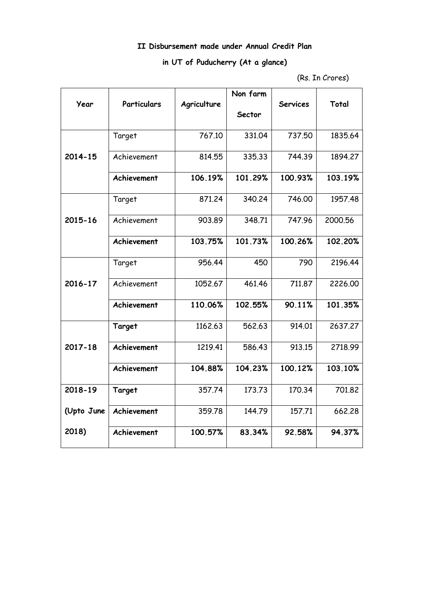## **II Disbursement made under Annual Credit Plan**

# **in UT of Puducherry (At a glance)**

<sup>(</sup>Rs. In Crores)

|            |             |             | Non farm |                 |         |
|------------|-------------|-------------|----------|-----------------|---------|
| Year       | Particulars | Agriculture |          | <b>Services</b> | Total   |
|            |             |             | Sector   |                 |         |
|            | Target      | 767.10      | 331.04   | 737.50          | 1835.64 |
| 2014-15    | Achievement | 814.55      | 335.33   | 744.39          | 1894.27 |
|            | Achievement | 106.19%     | 101.29%  | 100.93%         | 103.19% |
|            | Target      | 871.24      | 340.24   | 746.00          | 1957.48 |
| 2015-16    | Achievement | 903.89      | 348.71   | 747.96          | 2000.56 |
|            | Achievement | 103.75%     | 101.73%  | 100.26%         | 102.20% |
|            | Target      | 956.44      | 450      | 790             | 2196.44 |
| 2016-17    | Achievement | 1052.67     | 461.46   | 711.87          | 2226.00 |
|            | Achievement | 110.06%     | 102.55%  | 90.11%          | 101.35% |
|            | Target      | 1162.63     | 562.63   | 914.01          | 2637.27 |
| 2017-18    | Achievement | 1219.41     | 586.43   | 913.15          | 2718.99 |
|            | Achievement | 104.88%     | 104.23%  | 100.12%         | 103.10% |
| 2018-19    | Target      | 357.74      | 173.73   | 170.34          | 701.82  |
| (Upto June | Achievement | 359.78      | 144.79   | 157.71          | 662,28  |
| 2018)      | Achievement | 100.57%     | 83.34%   | 92.58%          | 94.37%  |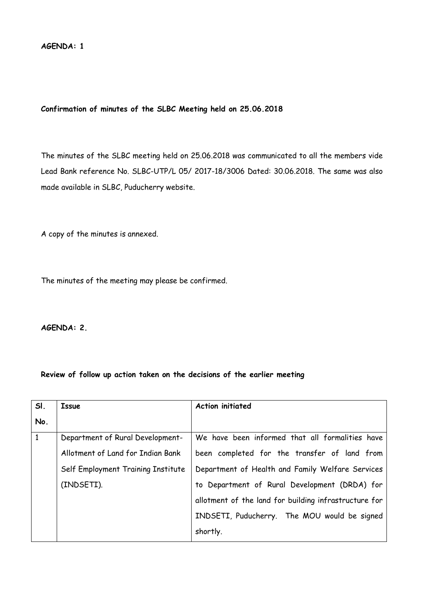## **Confirmation of minutes of the SLBC Meeting held on 25.06.2018**

The minutes of the SLBC meeting held on 25.06.2018 was communicated to all the members vide Lead Bank reference No. SLBC-UTP/L 05/ 2017-18/3006 Dated: 30.06.2018. The same was also made available in SLBC, Puducherry website.

A copy of the minutes is annexed.

The minutes of the meeting may please be confirmed.

**AGENDA: 2.**

## **Review of follow up action taken on the decisions of the earlier meeting**

| SI.          | Issue                              | <b>Action initiated</b>                               |  |  |
|--------------|------------------------------------|-------------------------------------------------------|--|--|
| No.          |                                    |                                                       |  |  |
| $\mathbf{1}$ | Department of Rural Development-   | We have been informed that all formalities have       |  |  |
|              | Allotment of Land for Indian Bank  | been completed for the transfer of land from          |  |  |
|              | Self Employment Training Institute | Department of Health and Family Welfare Services      |  |  |
|              | (INDSETI).                         | to Department of Rural Development (DRDA) for         |  |  |
|              |                                    | allotment of the land for building infrastructure for |  |  |
|              |                                    | INDSETI, Puducherry. The MOU would be signed          |  |  |
|              |                                    | shortly.                                              |  |  |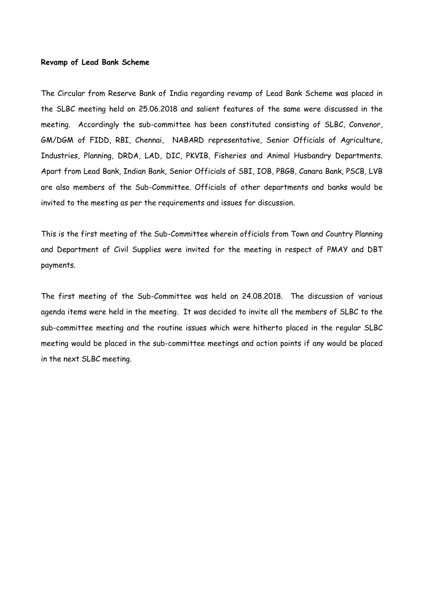## **Revamp of Lead Bank Scheme**

The Circular from Reserve Bank of India regarding revamp of Lead Bank Scheme was placed in the SLBC meeting held on 25.06.2018 and salient features of the same were discussed in the meeting. Accordingly the sub-committee has been constituted consisting of SLBC, Convenor, GM/DGM of FIDD, RBI, Chennai, NABARD representative, Senior Officials of Agriculture, Industries, Planning, DRDA, LAD, DIC, PKVIB, Fisheries and Animal Husbandry Departments. Apart from Lead Bank, Indian Bank, Senior Officials of SBI, IOB, PBGB, Canara Bank, PSCB, LVB are also members of the Sub-Committee. Officials of other departments and banks would be invited to the meeting as per the requirements and issues for discussion.

This is the first meeting of the Sub-Committee wherein officials from Town and Country Planning and Department of Civil Supplies were invited for the meeting in respect of PMAY and DBT payments.

The first meeting of the Sub-Committee was held on 24.08.2018. The discussion of various agenda items were held in the meeting. It was decided to invite all the members of SLBC to the sub-committee meeting and the routine issues which were hitherto placed in the regular SLBC meeting would be placed in the sub-committee meetings and action points if any would be placed in the next SLBC meeting.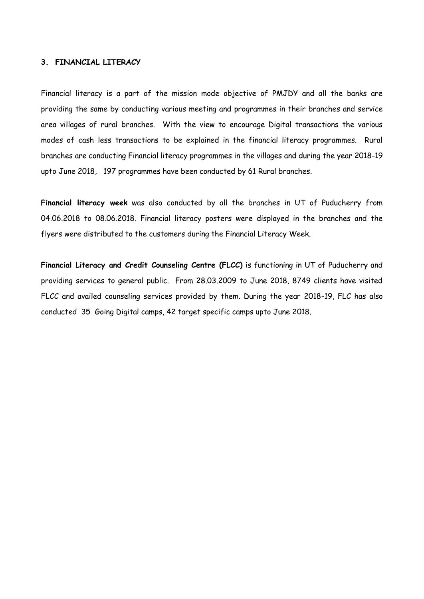## **3. FINANCIAL LITERACY**

Financial literacy is a part of the mission mode objective of PMJDY and all the banks are providing the same by conducting various meeting and programmes in their branches and service area villages of rural branches. With the view to encourage Digital transactions the various modes of cash less transactions to be explained in the financial literacy programmes. Rural branches are conducting Financial literacy programmes in the villages and during the year 2018-19 upto June 2018, 197 programmes have been conducted by 61 Rural branches.

**Financial literacy week** was also conducted by all the branches in UT of Puducherry from 04.06.2018 to 08.06.2018. Financial literacy posters were displayed in the branches and the flyers were distributed to the customers during the Financial Literacy Week.

**Financial Literacy and Credit Counseling Centre (FLCC)** is functioning in UT of Puducherry and providing services to general public. From 28.03.2009 to June 2018, 8749 clients have visited FLCC and availed counseling services provided by them. During the year 2018-19, FLC has also conducted 35 Going Digital camps, 42 target specific camps upto June 2018.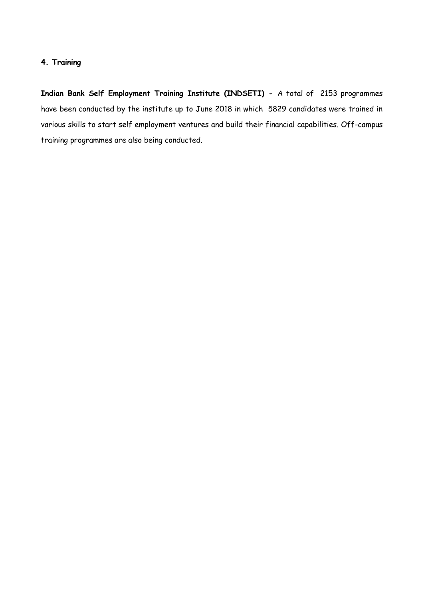## **4. Training**

**Indian Bank Self Employment Training Institute (INDSETI) -** A total of 2153 programmes have been conducted by the institute up to June 2018 in which 5829 candidates were trained in various skills to start self employment ventures and build their financial capabilities. Off-campus training programmes are also being conducted.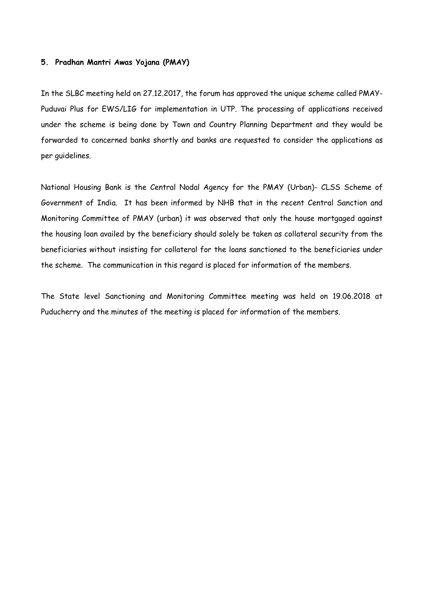## **5. Pradhan Mantri Awas Yojana (PMAY)**

In the SLBC meeting held on 27.12.2017, the forum has approved the unique scheme called PMAY-Puduvai Plus for EWS/LIG for implementation in UTP. The processing of applications received under the scheme is being done by Town and Country Planning Department and they would be forwarded to concerned banks shortly and banks are requested to consider the applications as per guidelines.

National Housing Bank is the Central Nodal Agency for the PMAY (Urban)- CLSS Scheme of Government of India. It has been informed by NHB that in the recent Central Sanction and Monitoring Committee of PMAY (urban) it was observed that only the house mortgaged against the housing loan availed by the beneficiary should solely be taken as collateral security from the beneficiaries without insisting for collateral for the loans sanctioned to the beneficiaries under the scheme. The communication in this regard is placed for information of the members.

The State level Sanctioning and Monitoring Committee meeting was held on 19.06.2018 at Puducherry and the minutes of the meeting is placed for information of the members.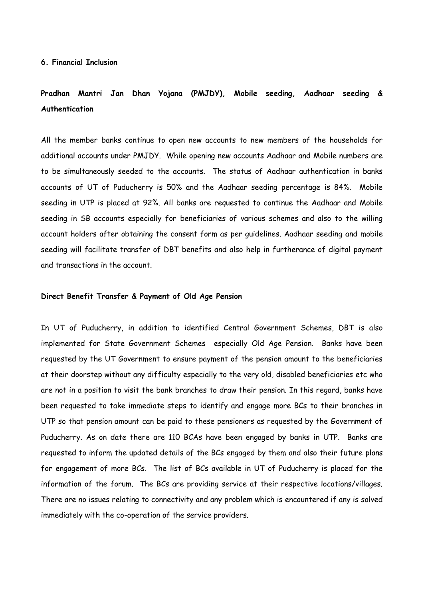# **Pradhan Mantri Jan Dhan Yojana (PMJDY), Mobile seeding, Aadhaar seeding & Authentication**

All the member banks continue to open new accounts to new members of the households for additional accounts under PMJDY. While opening new accounts Aadhaar and Mobile numbers are to be simultaneously seeded to the accounts. The status of Aadhaar authentication in banks accounts of UT of Puducherry is 50% and the Aadhaar seeding percentage is 84%. Mobile seeding in UTP is placed at 92%. All banks are requested to continue the Aadhaar and Mobile seeding in SB accounts especially for beneficiaries of various schemes and also to the willing account holders after obtaining the consent form as per guidelines. Aadhaar seeding and mobile seeding will facilitate transfer of DBT benefits and also help in furtherance of digital payment and transactions in the account.

## **Direct Benefit Transfer & Payment of Old Age Pension**

In UT of Puducherry, in addition to identified Central Government Schemes, DBT is also implemented for State Government Schemes especially Old Age Pension. Banks have been requested by the UT Government to ensure payment of the pension amount to the beneficiaries at their doorstep without any difficulty especially to the very old, disabled beneficiaries etc who are not in a position to visit the bank branches to draw their pension. In this regard, banks have been requested to take immediate steps to identify and engage more BCs to their branches in UTP so that pension amount can be paid to these pensioners as requested by the Government of Puducherry. As on date there are 110 BCAs have been engaged by banks in UTP. Banks are requested to inform the updated details of the BCs engaged by them and also their future plans for engagement of more BCs. The list of BCs available in UT of Puducherry is placed for the information of the forum. The BCs are providing service at their respective locations/villages. There are no issues relating to connectivity and any problem which is encountered if any is solved immediately with the co-operation of the service providers.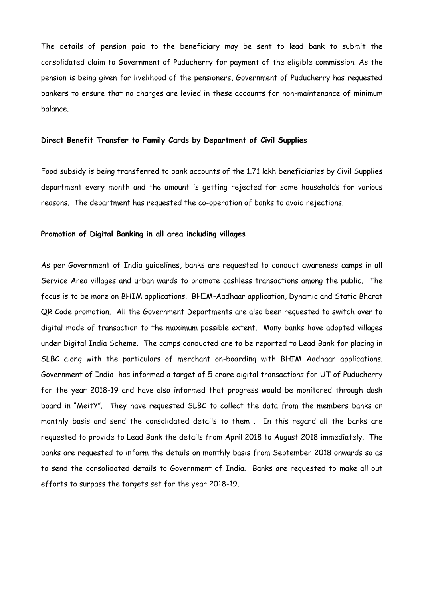The details of pension paid to the beneficiary may be sent to lead bank to submit the consolidated claim to Government of Puducherry for payment of the eligible commission. As the pension is being given for livelihood of the pensioners, Government of Puducherry has requested bankers to ensure that no charges are levied in these accounts for non-maintenance of minimum balance.

## **Direct Benefit Transfer to Family Cards by Department of Civil Supplies**

Food subsidy is being transferred to bank accounts of the 1.71 lakh beneficiaries by Civil Supplies department every month and the amount is getting rejected for some households for various reasons. The department has requested the co-operation of banks to avoid rejections.

## **Promotion of Digital Banking in all area including villages**

As per Government of India guidelines, banks are requested to conduct awareness camps in all Service Area villages and urban wards to promote cashless transactions among the public. The focus is to be more on BHIM applications. BHIM-Aadhaar application, Dynamic and Static Bharat QR Code promotion. All the Government Departments are also been requested to switch over to digital mode of transaction to the maximum possible extent. Many banks have adopted villages under Digital India Scheme. The camps conducted are to be reported to Lead Bank for placing in SLBC along with the particulars of merchant on-boarding with BHIM Aadhaar applications. Government of India has informed a target of 5 crore digital transactions for UT of Puducherry for the year 2018-19 and have also informed that progress would be monitored through dash board in "MeitY". They have requested SLBC to collect the data from the members banks on monthly basis and send the consolidated details to them . In this regard all the banks are requested to provide to Lead Bank the details from April 2018 to August 2018 immediately. The banks are requested to inform the details on monthly basis from September 2018 onwards so as to send the consolidated details to Government of India. Banks are requested to make all out efforts to surpass the targets set for the year 2018-19.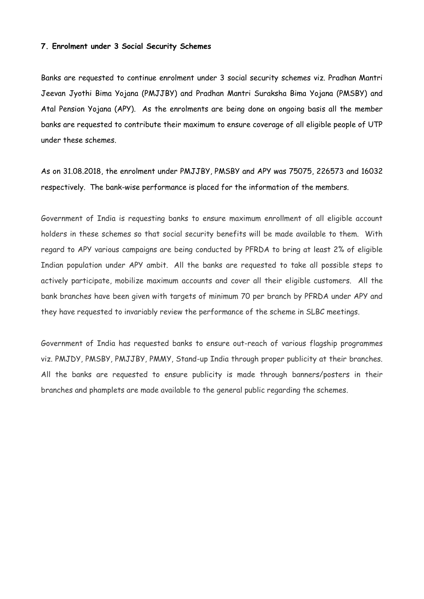## **7. Enrolment under 3 Social Security Schemes**

Banks are requested to continue enrolment under 3 social security schemes viz. Pradhan Mantri Jeevan Jyothi Bima Yojana (PMJJBY) and Pradhan Mantri Suraksha Bima Yojana (PMSBY) and Atal Pension Yojana (APY). As the enrolments are being done on ongoing basis all the member banks are requested to contribute their maximum to ensure coverage of all eligible people of UTP under these schemes.

As on 31.08.2018, the enrolment under PMJJBY, PMSBY and APY was 75075, 226573 and 16032 respectively. The bank-wise performance is placed for the information of the members.

Government of India is requesting banks to ensure maximum enrollment of all eligible account holders in these schemes so that social security benefits will be made available to them. With regard to APY various campaigns are being conducted by PFRDA to bring at least 2% of eligible Indian population under APY ambit. All the banks are requested to take all possible steps to actively participate, mobilize maximum accounts and cover all their eligible customers. All the bank branches have been given with targets of minimum 70 per branch by PFRDA under APY and they have requested to invariably review the performance of the scheme in SLBC meetings.

Government of India has requested banks to ensure out-reach of various flagship programmes viz. PMJDY, PMSBY, PMJJBY, PMMY, Stand-up India through proper publicity at their branches. All the banks are requested to ensure publicity is made through banners/posters in their branches and phamplets are made available to the general public regarding the schemes.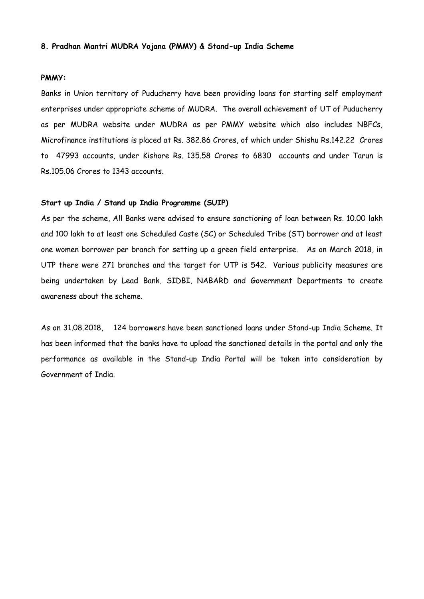### **8. Pradhan Mantri MUDRA Yojana (PMMY) & Stand-up India Scheme**

#### **PMMY:**

Banks in Union territory of Puducherry have been providing loans for starting self employment enterprises under appropriate scheme of MUDRA. The overall achievement of UT of Puducherry as per MUDRA website under MUDRA as per PMMY website which also includes NBFCs, Microfinance institutions is placed at Rs. 382.86 Crores, of which under Shishu Rs.142.22 Crores to 47993 accounts, under Kishore Rs. 135.58 Crores to 6830 accounts and under Tarun is Rs.105.06 Crores to 1343 accounts.

## **Start up India / Stand up India Programme (SUIP)**

As per the scheme, All Banks were advised to ensure sanctioning of loan between Rs. 10.00 lakh and 100 lakh to at least one Scheduled Caste (SC) or Scheduled Tribe (ST) borrower and at least one women borrower per branch for setting up a green field enterprise. As on March 2018, in UTP there were 271 branches and the target for UTP is 542. Various publicity measures are being undertaken by Lead Bank, SIDBI, NABARD and Government Departments to create awareness about the scheme.

As on 31.08.2018, 124 borrowers have been sanctioned loans under Stand-up India Scheme. It has been informed that the banks have to upload the sanctioned details in the portal and only the performance as available in the Stand-up India Portal will be taken into consideration by Government of India.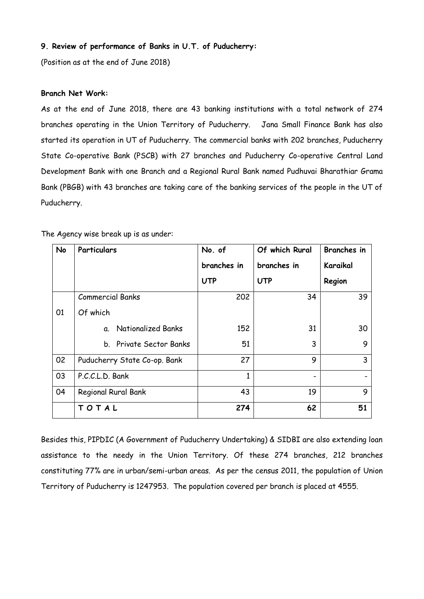## **9. Review of performance of Banks in U.T. of Puducherry:**

(Position as at the end of June 2018)

## **Branch Net Work:**

As at the end of June 2018, there are 43 banking institutions with a total network of 274 branches operating in the Union Territory of Puducherry. Jana Small Finance Bank has also started its operation in UT of Puducherry. The commercial banks with 202 branches, Puducherry State Co-operative Bank (PSCB) with 27 branches and Puducherry Co-operative Central Land Development Bank with one Branch and a Regional Rural Bank named Pudhuvai Bharathiar Grama Bank (PBGB) with 43 branches are taking care of the banking services of the people in the UT of Puducherry.

| <b>No</b> | Particulars                  | No. of      | Of which Rural | <b>Branches</b> in |
|-----------|------------------------------|-------------|----------------|--------------------|
|           |                              | branches in | branches in    | Karaikal           |
|           |                              | <b>UTP</b>  | <b>UTP</b>     | Region             |
|           | <b>Commercial Banks</b>      | 202         | 34             | 39                 |
| 01        | Of which                     |             |                |                    |
|           | a. Nationalized Banks        | 152         | 31             | 30                 |
|           | b. Private Sector Banks      | 51          | 3              | 9                  |
| 02        | Puducherry State Co-op. Bank | 27          | 9              | 3                  |
| 03        | P.C.C.L.D. Bank              | 1           |                |                    |
| 04        | Regional Rural Bank          | 43          | 19             | 9                  |
|           | TOTAL                        | 274         | 62             | 51                 |

The Agency wise break up is as under:

Besides this, PIPDIC (A Government of Puducherry Undertaking) & SIDBI are also extending loan assistance to the needy in the Union Territory. Of these 274 branches, 212 branches constituting 77% are in urban/semi-urban areas. As per the census 2011, the population of Union Territory of Puducherry is 1247953. The population covered per branch is placed at 4555.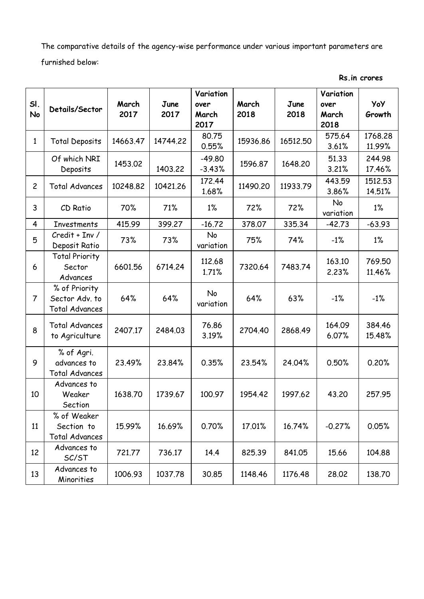The comparative details of the agency-wise performance under various important parameters are furnished below:

| SI.            |                                                          | March    | June     | Variation<br>over    | March    | June     | Variation<br>over | <b>YoY</b>        |
|----------------|----------------------------------------------------------|----------|----------|----------------------|----------|----------|-------------------|-------------------|
| No             | Details/Sector                                           | 2017     | 2017     | March<br>2017        | 2018     | 2018     | March<br>2018     | Growth            |
| $\mathbf{1}$   | <b>Total Deposits</b>                                    | 14663.47 | 14744.22 | 80.75<br>0.55%       | 15936.86 | 16512.50 | 575.64<br>3.61%   | 1768.28<br>11.99% |
|                | Of which NRI<br>Deposits                                 | 1453.02  | 1403.22  | $-49.80$<br>$-3.43%$ | 1596.87  | 1648.20  | 51.33<br>3.21%    | 244.98<br>17.46%  |
| $\overline{2}$ | <b>Total Advances</b>                                    | 10248.82 | 10421.26 | 172.44<br>1.68%      | 11490.20 | 11933.79 | 443.59<br>3.86%   | 1512.53<br>14.51% |
| 3              | CD Ratio                                                 | 70%      | 71%      | $1\%$                | 72%      | 72%      | No<br>variation   | $1\%$             |
| 4              | <b>Investments</b>                                       | 415.99   | 399.27   | $-16.72$             | 378.07   | 335.34   | $-42.73$          | $-63.93$          |
| 5              | Credit + Inv /<br>Deposit Ratio                          | 73%      | 73%      | No<br>variation      | 75%      | 74%      | $-1%$             | $1\%$             |
| 6              | <b>Total Priority</b><br>Sector<br>Advances              | 6601.56  | 6714.24  | 112.68<br>1.71%      | 7320.64  | 7483.74  | 163.10<br>2.23%   | 769.50<br>11.46%  |
| $\overline{7}$ | % of Priority<br>Sector Adv. to<br><b>Total Advances</b> | 64%      | 64%      | No<br>variation      | 64%      | 63%      | $-1%$             | $-1%$             |
| 8              | <b>Total Advances</b><br>to Agriculture                  | 2407.17  | 2484.03  | 76.86<br>3.19%       | 2704.40  | 2868.49  | 164.09<br>6.07%   | 384.46<br>15.48%  |
| 9              | % of Agri.<br>advances to<br><b>Total Advances</b>       | 23.49%   | 23.84%   | 0.35%                | 23.54%   | 24.04%   | 0.50%             | 0.20%             |
| 10             | Advances to<br>Weaker<br>Section                         | 1638.70  | 1739.67  | 100.97               | 1954.42  | 1997.62  | 43.20             | 257.95            |
| 11             | % of Weaker<br>Section to<br><b>Total Advances</b>       | 15.99%   | 16.69%   | 0.70%                | 17.01%   | 16.74%   | $-0.27%$          | 0.05%             |
| 12             | Advances to<br>SC/ST                                     | 721.77   | 736.17   | 14.4                 | 825.39   | 841.05   | 15.66             | 104.88            |
| 13             | Advances to<br>Minorities                                | 1006.93  | 1037.78  | 30.85                | 1148.46  | 1176.48  | 28.02             | 138.70            |

**Rs.in crores**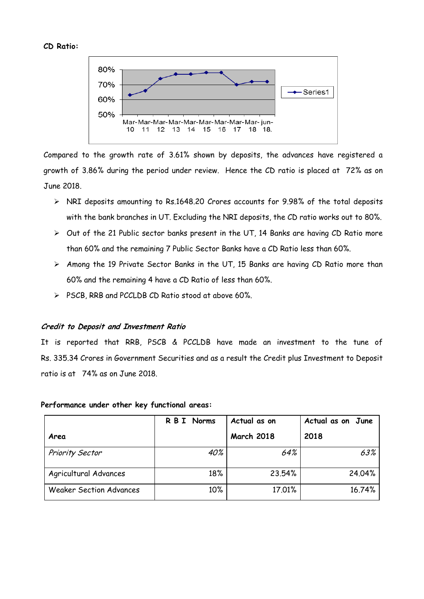## **CD Ratio:**



Compared to the growth rate of 3.61% shown by deposits, the advances have registered a growth of 3.86% during the period under review. Hence the CD ratio is placed at 72% as on June 2018.

- NRI deposits amounting to Rs.1648.20 Crores accounts for 9.98% of the total deposits with the bank branches in UT. Excluding the NRI deposits, the CD ratio works out to 80%.
- $\triangleright$  Out of the 21 Public sector banks present in the UT, 14 Banks are having CD Ratio more than 60% and the remaining 7 Public Sector Banks have a CD Ratio less than 60%.
- Among the 19 Private Sector Banks in the UT, 15 Banks are having CD Ratio more than 60% and the remaining 4 have a CD Ratio of less than 60%.
- $\triangleright$  PSCB, RRB and PCCLDB CD Ratio stood at above 60%.

## **Credit to Deposit and Investment Ratio**

It is reported that RRB, PSCB & PCCLDB have made an investment to the tune of Rs. 335.34 Crores in Government Securities and as a result the Credit plus Investment to Deposit ratio is at 74% as on June 2018.

|                                | R B I Norms | Actual as on      | Actual as on June |
|--------------------------------|-------------|-------------------|-------------------|
| Area                           |             | <b>March 2018</b> | 2018              |
| <b>Priority Sector</b>         | 40%         | 64%               | 63%               |
| Agricultural Advances          | 18%         | 23.54%            | 24.04%            |
| <b>Weaker Section Advances</b> | 10%         | 17.01%            | 16.74%            |

## **Performance under other key functional areas:**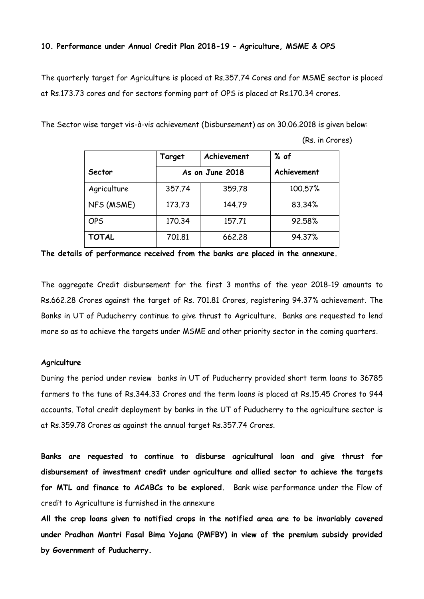## **10. Performance under Annual Credit Plan 2018-19 – Agriculture, MSME & OPS**

The quarterly target for Agriculture is placed at Rs.357.74 Cores and for MSME sector is placed at Rs.173.73 cores and for sectors forming part of OPS is placed at Rs.170.34 crores.

The Sector wise target vis-à-vis achievement (Disbursement) as on 30.06.2018 is given below:

|              | Target | Achievement     | % of        |
|--------------|--------|-----------------|-------------|
| Sector       |        | As on June 2018 | Achievement |
| Agriculture  | 357.74 | 359.78          | 100.57%     |
| NFS (MSME)   | 173.73 | 144.79          | 83.34%      |
| <b>OPS</b>   | 170.34 | 157.71          | 92.58%      |
| <b>TOTAL</b> | 701.81 | 662,28          | 94.37%      |

(Rs. in Crores)

**The details of performance received from the banks are placed in the annexure.** 

The aggregate Credit disbursement for the first 3 months of the year 2018-19 amounts to Rs.662.28 Crores against the target of Rs. 701.81 Crores, registering 94.37% achievement. The Banks in UT of Puducherry continue to give thrust to Agriculture. Banks are requested to lend more so as to achieve the targets under MSME and other priority sector in the coming quarters.

## **Agriculture**

During the period under review banks in UT of Puducherry provided short term loans to 36785 farmers to the tune of Rs.344.33 Crores and the term loans is placed at Rs.15.45 Crores to 944 accounts. Total credit deployment by banks in the UT of Puducherry to the agriculture sector is at Rs.359.78 Crores as against the annual target Rs.357.74 Crores.

**Banks are requested to continue to disburse agricultural loan and give thrust for disbursement of investment credit under agriculture and allied sector to achieve the targets for MTL and finance to ACABCs to be explored.** Bank wise performance under the Flow of credit to Agriculture is furnished in the annexure

**All the crop loans given to notified crops in the notified area are to be invariably covered under Pradhan Mantri Fasal Bima Yojana (PMFBY) in view of the premium subsidy provided by Government of Puducherry.**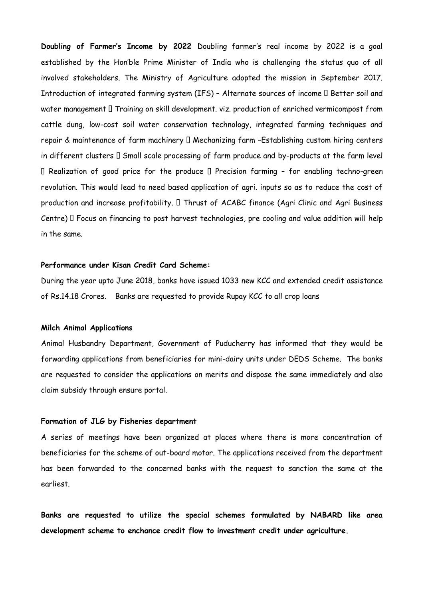**Doubling of Farmer's Income by 2022** Doubling farmer's real income by 2022 is a goal established by the Hon'ble Prime Minister of India who is challenging the status quo of all involved stakeholders. The Ministry of Agriculture adopted the mission in September 2017. Introduction of integrated farming system (IFS) - Alternate sources of income  $\square$  Better soil and water management I Training on skill development. viz. production of enriched vermicompost from cattle dung, low-cost soil water conservation technology, integrated farming techniques and repair & maintenance of farm machinery  $\Box$  Mechanizing farm -Establishing custom hiring centers in different clusters  $\square$  Small scale processing of farm produce and by-products at the farm level  $\Box$  Realization of good price for the produce  $\Box$  Precision farming - for enabling techno-green revolution. This would lead to need based application of agri. inputs so as to reduce the cost of production and increase profitability. I Thrust of ACABC finance (Agri Clinic and Agri Business Centre)  $\Box$  Focus on financing to post harvest technologies, pre cooling and value addition will help in the same.

### **Performance under Kisan Credit Card Scheme:**

During the year upto June 2018, banks have issued 1033 new KCC and extended credit assistance of Rs.14.18 Crores. Banks are requested to provide Rupay KCC to all crop loans

#### **Milch Animal Applications**

Animal Husbandry Department, Government of Puducherry has informed that they would be forwarding applications from beneficiaries for mini-dairy units under DEDS Scheme. The banks are requested to consider the applications on merits and dispose the same immediately and also claim subsidy through ensure portal.

## **Formation of JLG by Fisheries department**

A series of meetings have been organized at places where there is more concentration of beneficiaries for the scheme of out-board motor. The applications received from the department has been forwarded to the concerned banks with the request to sanction the same at the earliest.

**Banks are requested to utilize the special schemes formulated by NABARD like area development scheme to enchance credit flow to investment credit under agriculture.**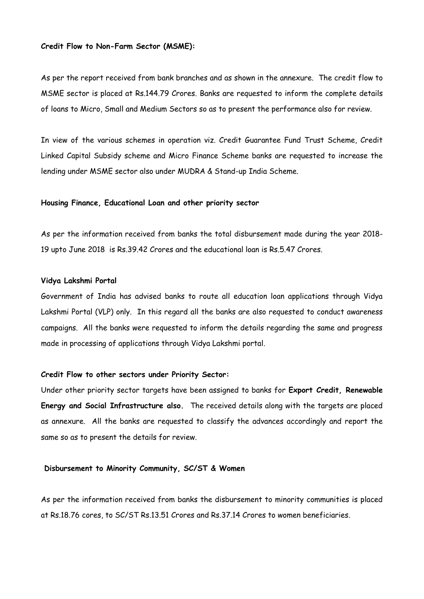## **Credit Flow to Non-Farm Sector (MSME):**

As per the report received from bank branches and as shown in the annexure. The credit flow to MSME sector is placed at Rs.144.79 Crores. Banks are requested to inform the complete details of loans to Micro, Small and Medium Sectors so as to present the performance also for review.

In view of the various schemes in operation viz. Credit Guarantee Fund Trust Scheme, Credit Linked Capital Subsidy scheme and Micro Finance Scheme banks are requested to increase the lending under MSME sector also under MUDRA & Stand-up India Scheme.

#### **Housing Finance, Educational Loan and other priority sector**

As per the information received from banks the total disbursement made during the year 2018- 19 upto June 2018 is Rs.39.42 Crores and the educational loan is Rs.5.47 Crores.

#### **Vidya Lakshmi Portal**

Government of India has advised banks to route all education loan applications through Vidya Lakshmi Portal (VLP) only. In this regard all the banks are also requested to conduct awareness campaigns. All the banks were requested to inform the details regarding the same and progress made in processing of applications through Vidya Lakshmi portal.

#### **Credit Flow to other sectors under Priority Sector:**

Under other priority sector targets have been assigned to banks for **Export Credit, Renewable Energy and Social Infrastructure also.** The received details along with the targets are placed as annexure. All the banks are requested to classify the advances accordingly and report the same so as to present the details for review.

## **Disbursement to Minority Community, SC/ST & Women**

As per the information received from banks the disbursement to minority communities is placed at Rs.18.76 cores, to SC/ST Rs.13.51 Crores and Rs.37.14 Crores to women beneficiaries.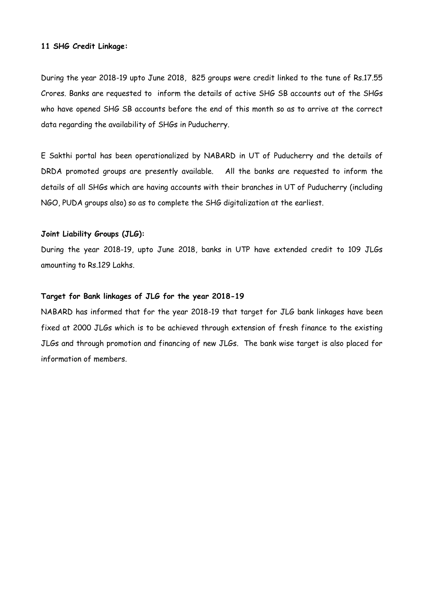#### **11 SHG Credit Linkage:**

During the year 2018-19 upto June 2018, 825 groups were credit linked to the tune of Rs.17.55 Crores. Banks are requested to inform the details of active SHG SB accounts out of the SHGs who have opened SHG SB accounts before the end of this month so as to arrive at the correct data regarding the availability of SHGs in Puducherry.

E Sakthi portal has been operationalized by NABARD in UT of Puducherry and the details of DRDA promoted groups are presently available. All the banks are requested to inform the details of all SHGs which are having accounts with their branches in UT of Puducherry (including NGO, PUDA groups also) so as to complete the SHG digitalization at the earliest.

## **Joint Liability Groups (JLG):**

During the year 2018-19, upto June 2018, banks in UTP have extended credit to 109 JLGs amounting to Rs.129 Lakhs.

## **Target for Bank linkages of JLG for the year 2018-19**

NABARD has informed that for the year 2018-19 that target for JLG bank linkages have been fixed at 2000 JLGs which is to be achieved through extension of fresh finance to the existing JLGs and through promotion and financing of new JLGs. The bank wise target is also placed for information of members.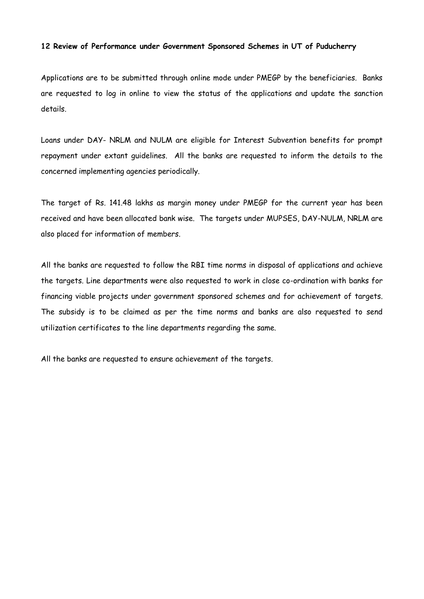## **12 Review of Performance under Government Sponsored Schemes in UT of Puducherry**

Applications are to be submitted through online mode under PMEGP by the beneficiaries. Banks are requested to log in online to view the status of the applications and update the sanction details.

Loans under DAY- NRLM and NULM are eligible for Interest Subvention benefits for prompt repayment under extant guidelines. All the banks are requested to inform the details to the concerned implementing agencies periodically.

The target of Rs. 141.48 lakhs as margin money under PMEGP for the current year has been received and have been allocated bank wise. The targets under MUPSES, DAY-NULM, NRLM are also placed for information of members.

All the banks are requested to follow the RBI time norms in disposal of applications and achieve the targets. Line departments were also requested to work in close co-ordination with banks for financing viable projects under government sponsored schemes and for achievement of targets. The subsidy is to be claimed as per the time norms and banks are also requested to send utilization certificates to the line departments regarding the same.

All the banks are requested to ensure achievement of the targets.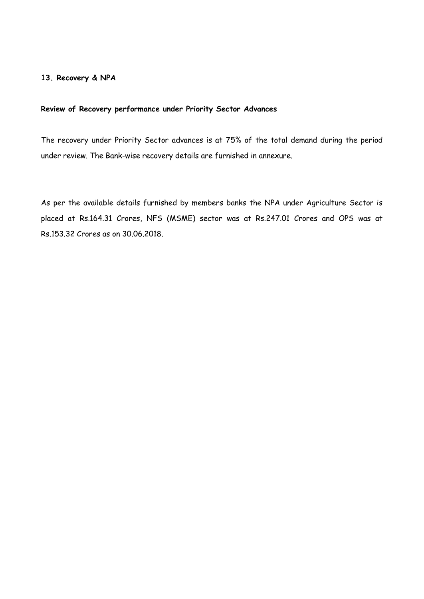## **13. Recovery & NPA**

## **Review of Recovery performance under Priority Sector Advances**

The recovery under Priority Sector advances is at 75% of the total demand during the period under review. The Bank-wise recovery details are furnished in annexure.

As per the available details furnished by members banks the NPA under Agriculture Sector is placed at Rs.164.31 Crores, NFS (MSME) sector was at Rs.247.01 Crores and OPS was at Rs.153.32 Crores as on 30.06.2018.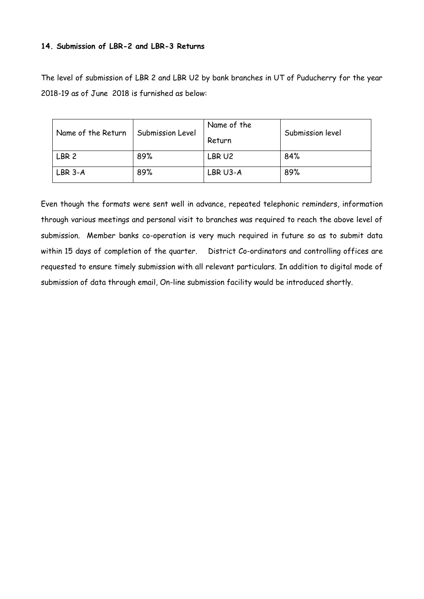## **14. Submission of LBR-2 and LBR-3 Returns**

The level of submission of LBR 2 and LBR U2 by bank branches in UT of Puducherry for the year 2018-19 as of June 2018 is furnished as below:

| Name of the Return | Submission Level | Name of the<br>Return | Submission level |
|--------------------|------------------|-----------------------|------------------|
| LBR <sub>2</sub>   | 89%              | LBR U2                | 84%              |
| LBR 3-A            | 89%              | LBR U3-A              | 89%              |

Even though the formats were sent well in advance, repeated telephonic reminders, information through various meetings and personal visit to branches was required to reach the above level of submission. Member banks co-operation is very much required in future so as to submit data within 15 days of completion of the quarter. District Co-ordinators and controlling offices are requested to ensure timely submission with all relevant particulars. In addition to digital mode of submission of data through email, On-line submission facility would be introduced shortly.